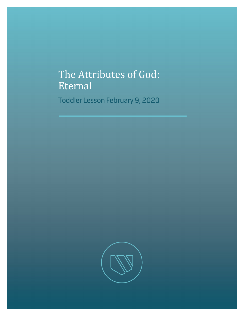## The Attributes of God: Eternal

Toddler Lesson February 9, 2020

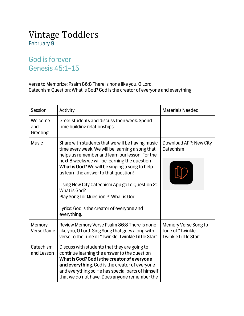## Vintage Toddlers February 9

## God is forever Genesis 45:1-15

Verse to Memorize: Psalm 86:8 There is none like you, O Lord. Catechism Question: What is God? God is the creator of everyone and everything.

| Session                     | Activity                                                                                                                                                                                                                                                                                                                                                                                                                                                                    | <b>Materials Needed</b>                                          |
|-----------------------------|-----------------------------------------------------------------------------------------------------------------------------------------------------------------------------------------------------------------------------------------------------------------------------------------------------------------------------------------------------------------------------------------------------------------------------------------------------------------------------|------------------------------------------------------------------|
| Welcome<br>and<br>Greeting  | Greet students and discuss their week. Spend<br>time building relationships.                                                                                                                                                                                                                                                                                                                                                                                                |                                                                  |
| <b>Music</b>                | Share with students that we will be having music<br>time every week. We will be learning a song that<br>helps us remember and learn our lesson. For the<br>next 8 weeks we will be learning the question<br>What is God? We will be singing a song to help<br>us learn the answer to that question!<br>Using New City Catechism App go to Question 2:<br>What is God?<br>Play Song for Question 2: What is God<br>Lyrics: God is the creator of everyone and<br>everything. | Download APP: New City<br>Catechism                              |
| Memory<br><b>Verse Game</b> | Review Memory Verse Psalm 86:8 There is none<br>like you, O Lord. Sing Song that goes along with<br>verse to the tune of "Twinkle Twinkle Little Star"                                                                                                                                                                                                                                                                                                                      | Memory Verse Song to<br>tune of "Twinkle<br>Twinkle Little Star" |
| Catechism<br>and Lesson     | Discuss with students that they are going to<br>continue learning the answer to the question<br>What is God? God is the creator of everyone<br>and everything. God is the creator of everyone<br>and everything so He has special parts of himself<br>that we do not have. Does anyone remember the                                                                                                                                                                         |                                                                  |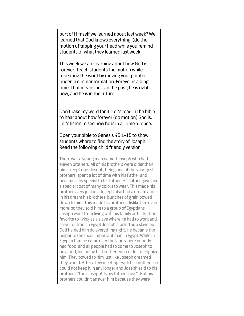| part of Himself we learned about last week? We<br>learned that God knows everything! (do the<br>motion of tapping your head while you remind<br>students of what they learned last week.                                                                                                                                                                                                                                                                                                                                                                                                                                                                                                                                                                                                                                                                                                                                                                                                                                                                                                                                                                                             |  |
|--------------------------------------------------------------------------------------------------------------------------------------------------------------------------------------------------------------------------------------------------------------------------------------------------------------------------------------------------------------------------------------------------------------------------------------------------------------------------------------------------------------------------------------------------------------------------------------------------------------------------------------------------------------------------------------------------------------------------------------------------------------------------------------------------------------------------------------------------------------------------------------------------------------------------------------------------------------------------------------------------------------------------------------------------------------------------------------------------------------------------------------------------------------------------------------|--|
| This week we are learning about how God is<br>forever. Teach students the motion while<br>repeating the word by moving your pointer<br>finger in circular formation. Forever is a long<br>time. That means he is in the past, he is right<br>now, and he is in the future.                                                                                                                                                                                                                                                                                                                                                                                                                                                                                                                                                                                                                                                                                                                                                                                                                                                                                                           |  |
| Don't take my word for it! Let's read in the bible<br>to hear about how forever (do motion) God is.<br>Let's listen to see how he is in all time at once.                                                                                                                                                                                                                                                                                                                                                                                                                                                                                                                                                                                                                                                                                                                                                                                                                                                                                                                                                                                                                            |  |
| Open your bible to Genesis 45:1-15 to show<br>students where to find the story of Joseph.<br>Read the following child friendly version.                                                                                                                                                                                                                                                                                                                                                                                                                                                                                                                                                                                                                                                                                                                                                                                                                                                                                                                                                                                                                                              |  |
| There was a young man named Joseph who had<br>eleven brothers. All of his brothers were older than<br>him except one. Joseph, being one of the youngest<br>brothers, spent a lot of time with his Father and<br>became very special to his father. His father gave him<br>a special coat of many colors to wear. This made his<br>brothers very jealous. Joseph also had a dream and<br>in his dream his brothers' bunches of grain bowed<br>down to him. This made his brothers dislike him even<br>more, so they sold him to a group of Egyptians.<br>Joseph went from living with his family as his Father's<br>favorite to living as a slave where he had to work and<br>serve for free! In Egypt Joseph started as a slave but<br>God helped him do everything right. He became the<br>helper to the most important man in Egypt. While in<br>Egypt a famine came over the land where nobody<br>had food and all people had to come to Joseph to<br>buy food, including his brothers who didn't recognize<br>him! They bowed to him just like Joseph dreamed<br>they would. After a few meetings with his brothers he<br>could not keep it in any longer and Joseph said to his |  |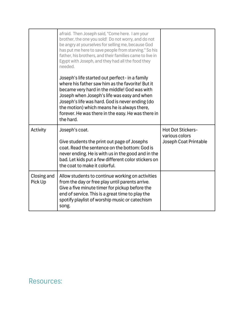|                        | afraid. Then Joseph said, "Come here. I am your<br>brother, the one you sold! Do not worry, and do not<br>be angry at yourselves for selling me, because God<br>has put me here to save people from starving." So his<br>father, his brothers, and their families came to live in<br>Egypt with Joseph, and they had all the food they<br>needed.                      |                                                                     |
|------------------------|------------------------------------------------------------------------------------------------------------------------------------------------------------------------------------------------------------------------------------------------------------------------------------------------------------------------------------------------------------------------|---------------------------------------------------------------------|
|                        | Joseph's life started out perfect- in a family<br>where his father saw him as the favorite! But it<br>became very hard in the middle! God was with<br>Joseph when Joseph's life was easy and when<br>Joseph's life was hard. God is never ending (do<br>the motion) which means he is always there,<br>forever. He was there in the easy. He was there in<br>the hard. |                                                                     |
| Activity               | Joseph's coat.<br>Give students the print out page of Josephs<br>coat. Read the sentence on the bottom: God is<br>never ending. He is with us in the good and in the<br>bad. Let kids put a few different color stickers on<br>the coat to make it colorful.                                                                                                           | <b>Hot Dot Stickers-</b><br>various colors<br>Joseph Coat Printable |
| Closing and<br>Pick Up | Allow students to continue working on activities<br>from the day or free play until parents arrive.<br>Give a five minute timer for pickup before the<br>end of service. This is a great time to play the<br>spotify playlist of worship music or catechism<br>song.                                                                                                   |                                                                     |

## Resources: